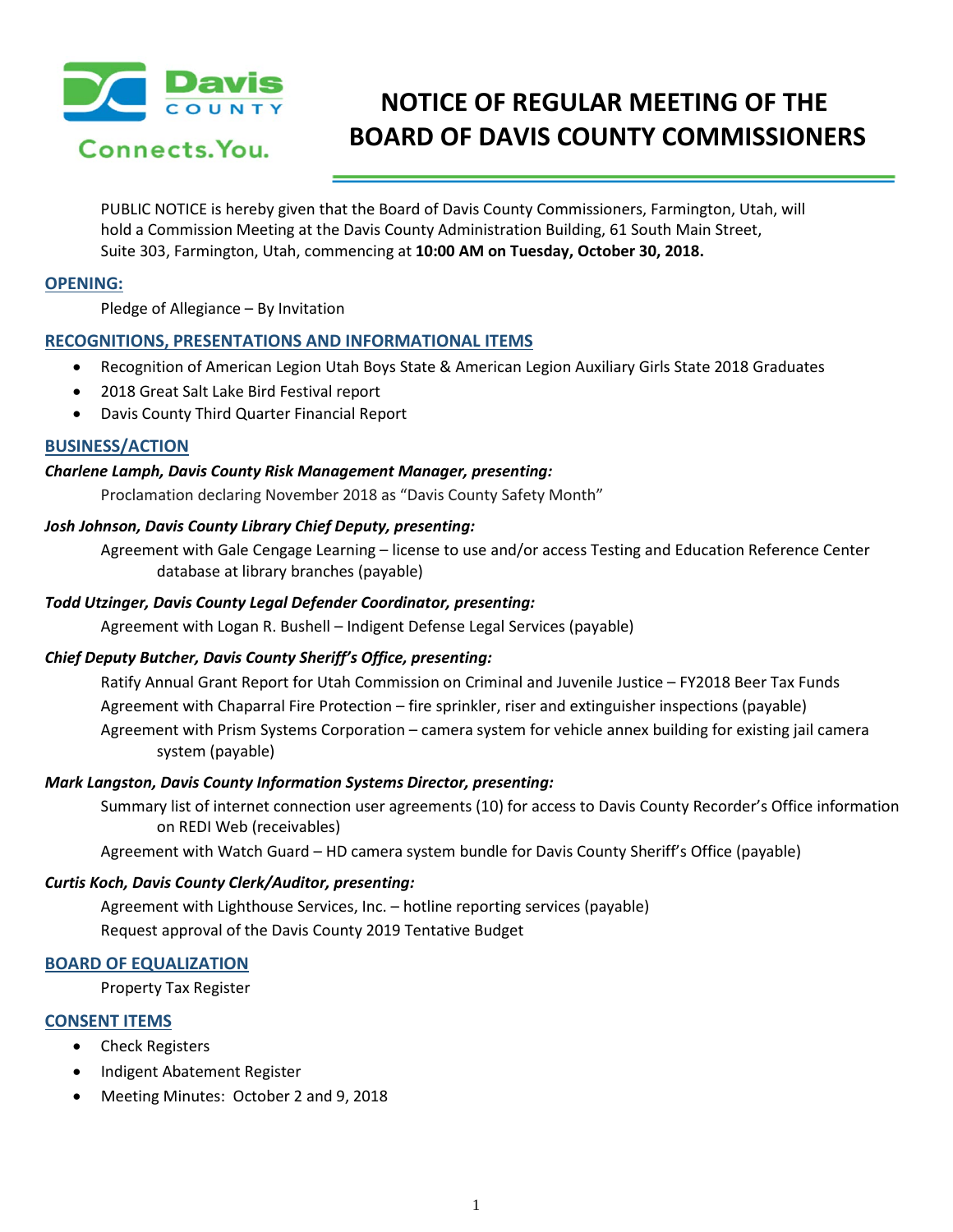

# **NOTICE OF REGULAR MEETING OF THE BOARD OF DAVIS COUNTY COMMISSIONERS**

PUBLIC NOTICE is hereby given that the Board of Davis County Commissioners, Farmington, Utah, will hold a Commission Meeting at the Davis County Administration Building, 61 South Main Street, Suite 303, Farmington, Utah, commencing at **10:00 AM on Tuesday, October 30, 2018.**

# **OPENING:**

Pledge of Allegiance – By Invitation

# **RECOGNITIONS, PRESENTATIONS AND INFORMATIONAL ITEMS**

- Recognition of American Legion Utah Boys State & American Legion Auxiliary Girls State 2018 Graduates
- 2018 Great Salt Lake Bird Festival report
- Davis County Third Quarter Financial Report

## **BUSINESS/ACTION**

#### *Charlene Lamph, Davis County Risk Management Manager, presenting:*

Proclamation declaring November 2018 as "Davis County Safety Month"

## *Josh Johnson, Davis County Library Chief Deputy, presenting:*

Agreement with Gale Cengage Learning – license to use and/or access Testing and Education Reference Center database at library branches (payable)

#### *Todd Utzinger, Davis County Legal Defender Coordinator, presenting:*

Agreement with Logan R. Bushell – Indigent Defense Legal Services (payable)

# *Chief Deputy Butcher, Davis County Sheriff's Office, presenting:*

Ratify Annual Grant Report for Utah Commission on Criminal and Juvenile Justice – FY2018 Beer Tax Funds Agreement with Chaparral Fire Protection – fire sprinkler, riser and extinguisher inspections (payable) Agreement with Prism Systems Corporation – camera system for vehicle annex building for existing jail camera system (payable)

#### *Mark Langston, Davis County Information Systems Director, presenting:*

Summary list of internet connection user agreements (10) for access to Davis County Recorder's Office information on REDI Web (receivables)

Agreement with Watch Guard – HD camera system bundle for Davis County Sheriff's Office (payable)

#### *Curtis Koch, Davis County Clerk/Auditor, presenting:*

Agreement with Lighthouse Services, Inc. – hotline reporting services (payable) Request approval of the Davis County 2019 Tentative Budget

#### **BOARD OF EQUALIZATION**

Property Tax Register

#### **CONSENT ITEMS**

- Check Registers
- Indigent Abatement Register
- Meeting Minutes: October 2 and 9, 2018